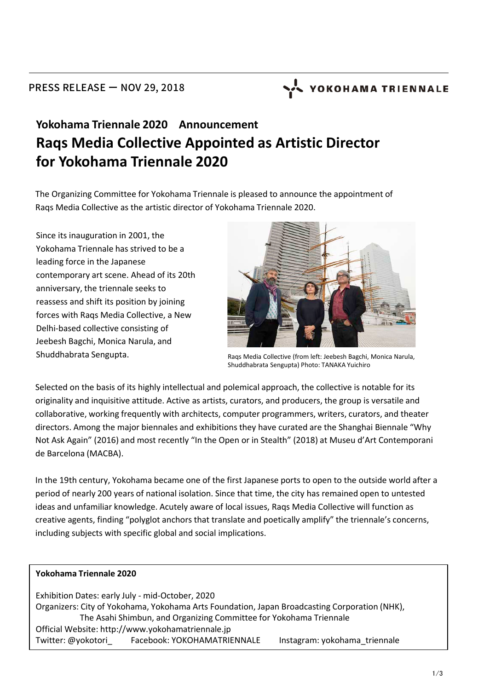# YOKOHAMA TRIENNALE

## **Yokohama Triennale 2020 Announcement Raqs Media Collective Appointed as Artistic Director for Yokohama Triennale 2020**

The Organizing Committee for Yokohama Triennale is pleased to announce the appointment of Raqs Media Collective as the artistic director of Yokohama Triennale 2020.

Since its inauguration in 2001, the Yokohama Triennale has strived to be a leading force in the Japanese contemporary art scene. Ahead of its 20th anniversary, the triennale seeks to reassess and shift its position by joining forces with Raqs Media Collective, a New Delhi-based collective consisting of Jeebesh Bagchi, Monica Narula, and Shuddhabrata Sengupta.



Raqs Media Collective (from left: Jeebesh Bagchi, Monica Narula, Shuddhabrata Sengupta) Photo: TANAKA Yuichiro

Selected on the basis of its highly intellectual and polemical approach, the collective is notable for its originality and inquisitive attitude. Active as artists, curators, and producers, the group is versatile and collaborative, working frequently with architects, computer programmers, writers, curators, and theater directors. Among the major biennales and exhibitions they have curated are the Shanghai Biennale "Why Not Ask Again" (2016) and most recently "In the Open or in Stealth" (2018) at Museu d'Art Contemporani de Barcelona (MACBA).

In the 19th century, Yokohama became one of the first Japanese ports to open to the outside world after a period of nearly 200 years of national isolation. Since that time, the city has remained open to untested ideas and unfamiliar knowledge. Acutely aware of local issues, Raqs Media Collective will function as creative agents, finding "polyglot anchors that translate and poetically amplify" the triennale's concerns, including subjects with specific global and social implications.

#### **Yokohama Triennale 2020**

Exhibition Dates: early July - mid-October, 2020 Organizers: City of Yokohama, Yokohama Arts Foundation, Japan Broadcasting Corporation (NHK), The Asahi Shimbun, and Organizing Committee for Yokohama Triennale Official Website: http://www.yokohamatriennale.jp Twitter: @yokotori\_ Facebook: YOKOHAMATRIENNALE Instagram: yokohama\_triennale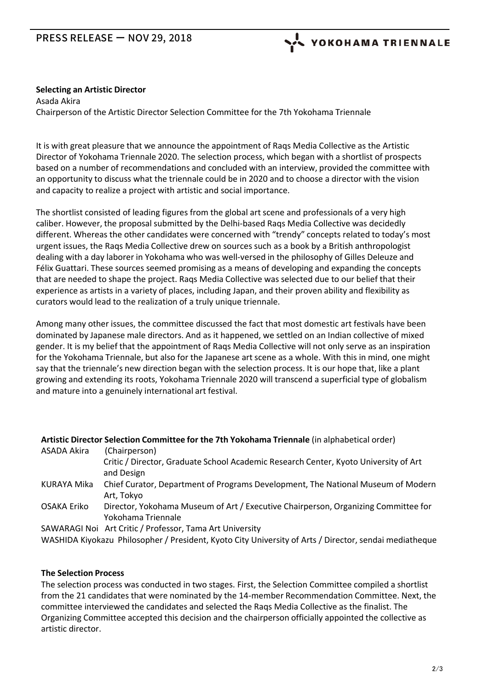### PRESS RELEASE ー NOV 29, 2018

YOKOHAMA TRIENNALE

#### **Selecting an Artistic Director**

Asada Akira Chairperson of the Artistic Director Selection Committee for the 7th Yokohama Triennale

It is with great pleasure that we announce the appointment of Raqs Media Collective as the Artistic Director of Yokohama Triennale 2020. The selection process, which began with a shortlist of prospects based on a number of recommendations and concluded with an interview, provided the committee with an opportunity to discuss what the triennale could be in 2020 and to choose a director with the vision and capacity to realize a project with artistic and social importance.

The shortlist consisted of leading figures from the global art scene and professionals of a very high caliber. However, the proposal submitted by the Delhi-based Raqs Media Collective was decidedly different. Whereas the other candidates were concerned with "trendy" concepts related to today's most urgent issues, the Raqs Media Collective drew on sources such as a book by a British anthropologist dealing with a day laborer in Yokohama who was well-versed in the philosophy of Gilles Deleuze and Félix Guattari. These sources seemed promising as a means of developing and expanding the concepts that are needed to shape the project. Raqs Media Collective was selected due to our belief that their experience as artists in a variety of places, including Japan, and their proven ability and flexibility as curators would lead to the realization of a truly unique triennale.

Among many other issues, the committee discussed the fact that most domestic art festivals have been dominated by Japanese male directors. And as it happened, we settled on an Indian collective of mixed gender. It is my belief that the appointment of Raqs Media Collective will not only serve as an inspiration for the Yokohama Triennale, but also for the Japanese art scene as a whole. With this in mind, one might say that the triennale's new direction began with the selection process. It is our hope that, like a plant growing and extending its roots, Yokohama Triennale 2020 will transcend a superficial type of globalism and mature into a genuinely international art festival.

#### **Artistic Director Selection Committee for the 7th Yokohama Triennale** (in alphabetical order)

| ASADA Akira                                                                                            | (Chairperson)                                                                        |
|--------------------------------------------------------------------------------------------------------|--------------------------------------------------------------------------------------|
|                                                                                                        | Critic / Director, Graduate School Academic Research Center, Kyoto University of Art |
|                                                                                                        | and Design                                                                           |
| KURAYA Mika                                                                                            | Chief Curator, Department of Programs Development, The National Museum of Modern     |
|                                                                                                        | Art, Tokyo                                                                           |
| OSAKA Eriko                                                                                            | Director, Yokohama Museum of Art / Executive Chairperson, Organizing Committee for   |
|                                                                                                        | Yokohama Triennale                                                                   |
|                                                                                                        | SAWARAGI Noi Art Critic / Professor, Tama Art University                             |
| WASHIDA Kiyokazu Philosopher / President, Kyoto City University of Arts / Director, sendai mediatheque |                                                                                      |

#### **The Selection Process**

The selection process was conducted in two stages. First, the Selection Committee compiled a shortlist from the 21 candidates that were nominated by the 14-member Recommendation Committee. Next, the committee interviewed the candidates and selected the Raqs Media Collective as the finalist. The Organizing Committee accepted this decision and the chairperson officially appointed the collective as artistic director.